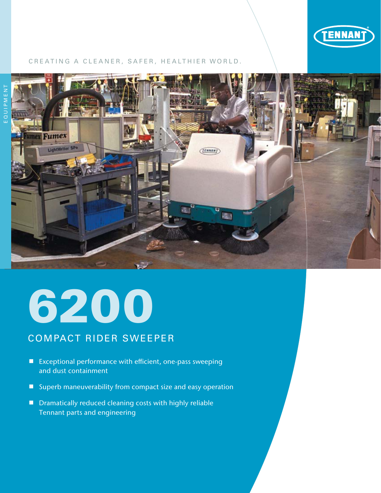

#### CREATING A CLEANER, SAFER, HEALTHIER WORLD.



# 6200

# COMPACT RIDER SWEEPER

- Exceptional performance with efficient, one-pass sweeping and dust containment
- Superb maneuverability from compact size and easy operation
- Dramatically reduced cleaning costs with highly reliable Tennant parts and engineering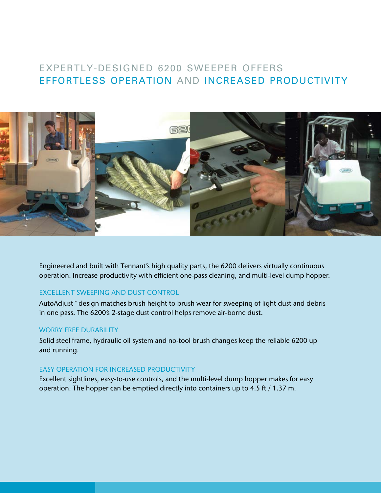## EXPERTLY-DESIGNED 6200 SWEEPER OFFERS EFFORTLESS OPERATION AND INCREASED PRODUCTIVITY



Engineered and built with Tennant's high quality parts, the 6200 delivers virtually continuous operation. Increase productivity with efficient one-pass cleaning, and multi-level dump hopper.

#### EXCELLENT SWEEPING AND DUST CONTROL

AutoAdjust™ design matches brush height to brush wear for sweeping of light dust and debris in one pass. The 6200's 2-stage dust control helps remove air-borne dust.

#### WORRY-FREE DURABILITY

Solid steel frame, hydraulic oil system and no-tool brush changes keep the reliable 6200 up and running.

#### EASY OPERATION FOR INCREASED PRODUCTIVITY

Excellent sightlines, easy-to-use controls, and the multi-level dump hopper makes for easy operation. The hopper can be emptied directly into containers up to 4.5 ft / 1.37 m.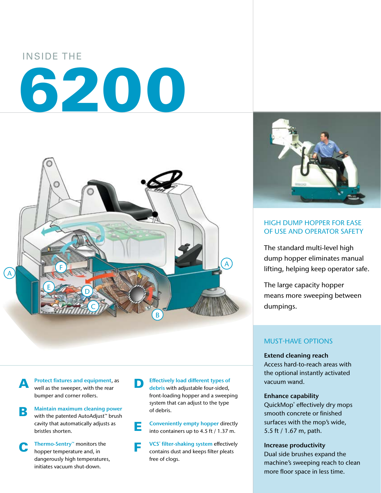# INSIDE THE 6200



**A** Protect fixtures and equipment, as well as the sweeper, with the rear bumper and corner rollers.

- Maintain maximum cleaning power<br>
with the patented AutoAdjust™ brush cavity that automatically adjusts as bristles shorten.
- C Thermo-Sentry™ monitors the hopper temperature and, in dangerously high temperatures, initiates vacuum shut-down.

**D** Effectively load different types of debris with adjustable four-sided, front-loading hopper and a sweeping system that can adjust to the type of debris.

**E** Conveniently empty hopper directly<br>into containers up to 4.5 ft / 1.37 m.

**F** VCS<sup>®</sup> filter-shaking system effectivel<br>contains dust and keeps filter pleats VCS<sup>®</sup> filter-shaking system effectively free of clogs.



#### HIGH DUMP HOPPER FOR EASE OF USE AND OPERATOR SAFETY

The standard multi-level high dump hopper eliminates manual lifting, helping keep operator safe.

The large capacity hopper means more sweeping between dumpings.

#### MUST-HAVE OPTIONS

Extend cleaning reach Access hard-to-reach areas with the optional instantly activated vacuum wand.

#### Enhance capability

QuickMop® effectively dry mops smooth concrete or finished surfaces with the mop's wide, 5.5 ft / 1.67 m, path.

Increase productivity

Dual side brushes expand the machine's sweeping reach to clean more floor space in less time.